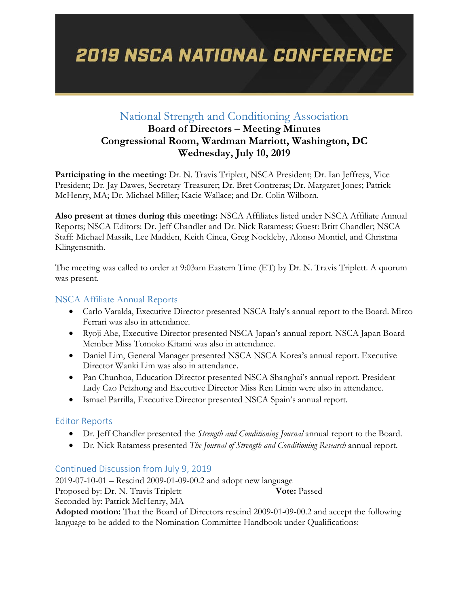# **2019 NSCA NATIONAL CONFERENCE**

### National Strength and Conditioning Association

### **Board of Directors – Meeting Minutes Congressional Room, Wardman Marriott, Washington, DC Wednesday, July 10, 2019**

**Participating in the meeting:** Dr. N. Travis Triplett, NSCA President; Dr. Ian Jeffreys, Vice President; Dr. Jay Dawes, Secretary-Treasurer; Dr. Bret Contreras; Dr. Margaret Jones; Patrick McHenry, MA; Dr. Michael Miller; Kacie Wallace; and Dr. Colin Wilborn.

**Also present at times during this meeting:** NSCA Affiliates listed under NSCA Affiliate Annual Reports; NSCA Editors: Dr. Jeff Chandler and Dr. Nick Ratamess; Guest: Britt Chandler; NSCA Staff: Michael Massik, Lee Madden, Keith Cinea, Greg Nockleby, Alonso Montiel, and Christina Klingensmith.

The meeting was called to order at 9:03am Eastern Time (ET) by Dr. N. Travis Triplett. A quorum was present.

#### NSCA Affiliate Annual Reports

- Carlo Varalda, Executive Director presented NSCA Italy's annual report to the Board. Mirco Ferrari was also in attendance.
- Ryoji Abe, Executive Director presented NSCA Japan's annual report. NSCA Japan Board Member Miss Tomoko Kitami was also in attendance.
- Daniel Lim, General Manager presented NSCA NSCA Korea's annual report. Executive Director Wanki Lim was also in attendance.
- Pan Chunhoa, Education Director presented NSCA Shanghai's annual report. President Lady Cao Peizhong and Executive Director Miss Ren Limin were also in attendance.
- Ismael Parrilla, Executive Director presented NSCA Spain's annual report.

#### Editor Reports

- Dr. Jeff Chandler presented the *Strength and Conditioning Journal* annual report to the Board.
- Dr. Nick Ratamess presented *The Journal of Strength and Conditioning Research* annual report.

#### Continued Discussion from July 9, 2019

2019-07-10-01 – Rescind 2009-01-09-00.2 and adopt new language Proposed by: Dr. N. Travis Triplett **Vote:** Passed Seconded by: Patrick McHenry, MA

**Adopted motion:** That the Board of Directors rescind 2009-01-09-00.2 and accept the following language to be added to the Nomination Committee Handbook under Qualifications: